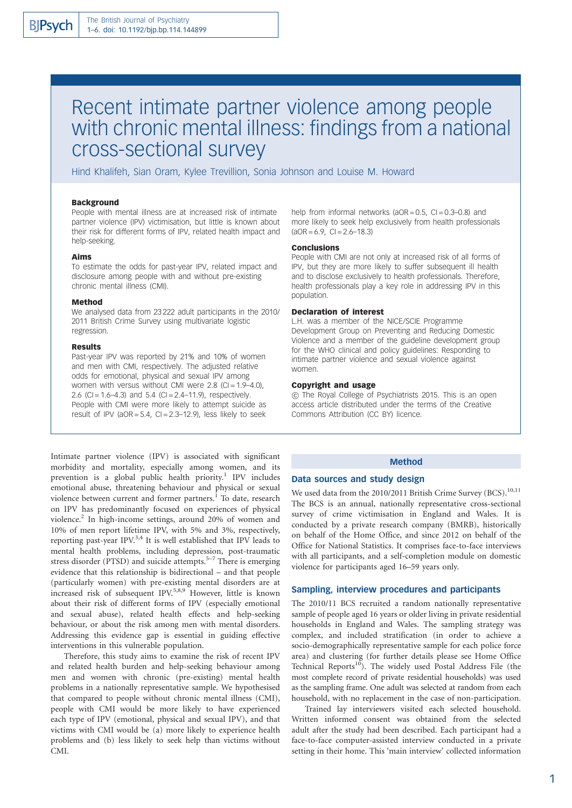# Recent intimate partner violence among people with chronic mental illness: findings from a national cross-sectional survey

Hind Khalifeh, Sian Oram, Kylee Trevillion, Sonia Johnson and Louise M. Howard

#### **Background**

People with mental illness are at increased risk of intimate partner violence (IPV) victimisation, but little is known about their risk for different forms of IPV, related health impact and help-seeking.

#### Aims

To estimate the odds for past-year IPV, related impact and disclosure among people with and without pre-existing chronic mental illness (CMI).

#### Method

We analysed data from 23 222 adult participants in the 2010/ 2011 British Crime Survey using multivariate logistic regression.

#### Results

Past-year IPV was reported by 21% and 10% of women and men with CMI, respectively. The adjusted relative odds for emotional, physical and sexual IPV among women with versus without CMI were  $2.8$  (CI = 1.9–4.0). 2.6 (CI =  $1.6-4.3$ ) and  $5.4$  (CI =  $2.4-11.9$ ), respectively. People with CMI were more likely to attempt suicide as result of IPV ( $aOR = 5.4$ ,  $Cl = 2.3-12.9$ ), less likely to seek

Intimate partner violence (IPV) is associated with significant morbidity and mortality, especially among women, and its prevention is a global public health priority.<sup>1</sup> IPV includes emotional abuse, threatening behaviour and physical or sexual violence between current and former partners.<sup>1</sup> To date, research on IPV has predominantly focused on experiences of physical violence.<sup>2</sup> In high-income settings, around 20% of women and 10% of men report lifetime IPV, with 5% and 3%, respectively, reporting past-year IPV.3,4 It is well established that IPV leads to mental health problems, including depression, post-traumatic stress disorder (PTSD) and suicide attempts.<sup>5-7</sup> There is emerging evidence that this relationship is bidirectional – and that people (particularly women) with pre-existing mental disorders are at increased risk of subsequent IPV.<sup>5,8,9</sup> However, little is known about their risk of different forms of IPV (especially emotional and sexual abuse), related health effects and help-seeking behaviour, or about the risk among men with mental disorders. Addressing this evidence gap is essential in guiding effective interventions in this vulnerable population.

Therefore, this study aims to examine the risk of recent IPV and related health burden and help-seeking behaviour among men and women with chronic (pre-existing) mental health problems in a nationally representative sample. We hypothesised that compared to people without chronic mental illness (CMI), people with CMI would be more likely to have experienced each type of IPV (emotional, physical and sexual IPV), and that victims with CMI would be (a) more likely to experience health problems and (b) less likely to seek help than victims without CMI.

help from informal networks ( $aOR = 0.5$ ,  $Cl = 0.3-0.8$ ) and more likely to seek help exclusively from health professionals  $(aOR = 6.9, CI = 2.6 - 18.3)$ 

#### Conclusions

People with CMI are not only at increased risk of all forms of IPV, but they are more likely to suffer subsequent ill health and to disclose exclusively to health professionals. Therefore, health professionals play a key role in addressing IPV in this population.

## Declaration of interest

L.H. was a member of the NICE/SCIE Programme Development Group on Preventing and Reducing Domestic Violence and a member of the guideline development group for the WHO clinical and policy guidelines: Responding to intimate partner violence and sexual violence against women.

#### Copyright and usage

B The Royal College of Psychiatrists 2015. This is an open access article distributed under the terms of the Creative Commons Attribution (CC BY) licence.

## Method

# Data sources and study design

We used data from the 2010/2011 British Crime Survey (BCS).<sup>10,11</sup> The BCS is an annual, nationally representative cross-sectional survey of crime victimisation in England and Wales. It is conducted by a private research company (BMRB), historically on behalf of the Home Office, and since 2012 on behalf of the Office for National Statistics. It comprises face-to-face interviews with all participants, and a self-completion module on domestic violence for participants aged 16–59 years only.

## Sampling, interview procedures and participants

The 2010/11 BCS recruited a random nationally representative sample of people aged 16 years or older living in private residential households in England and Wales. The sampling strategy was complex, and included stratification (in order to achieve a socio-demographically representative sample for each police force area) and clustering (for further details please see Home Office Technical Reports<sup>10</sup>). The widely used Postal Address File (the most complete record of private residential households) was used as the sampling frame. One adult was selected at random from each household, with no replacement in the case of non-participation.

Trained lay interviewers visited each selected household. Written informed consent was obtained from the selected adult after the study had been described. Each participant had a face-to-face computer-assisted interview conducted in a private setting in their home. This 'main interview' collected information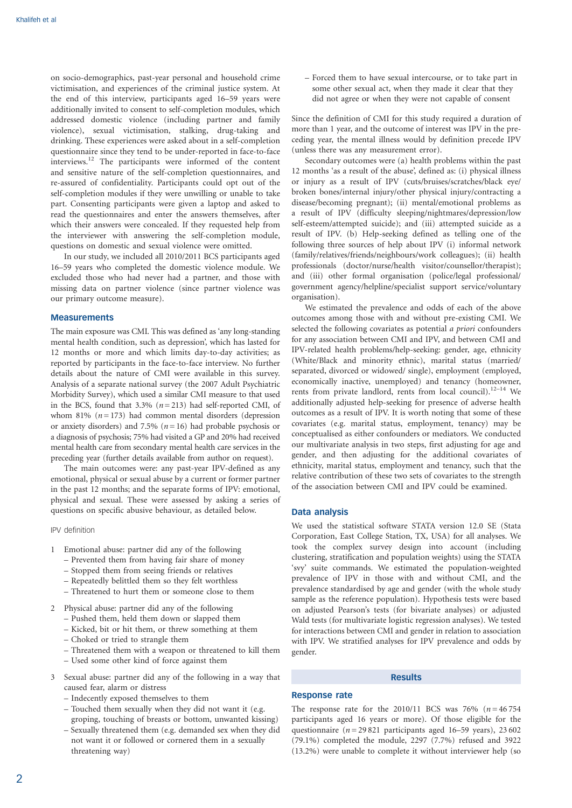on socio-demographics, past-year personal and household crime victimisation, and experiences of the criminal justice system. At the end of this interview, participants aged 16–59 years were additionally invited to consent to self-completion modules, which addressed domestic violence (including partner and family violence), sexual victimisation, stalking, drug-taking and drinking. These experiences were asked about in a self-completion questionnaire since they tend to be under-reported in face-to-face interviews.12 The participants were informed of the content and sensitive nature of the self-completion questionnaires, and re-assured of confidentiality. Participants could opt out of the self-completion modules if they were unwilling or unable to take part. Consenting participants were given a laptop and asked to read the questionnaires and enter the answers themselves, after which their answers were concealed. If they requested help from the interviewer with answering the self-completion module, questions on domestic and sexual violence were omitted.

In our study, we included all 2010/2011 BCS participants aged 16–59 years who completed the domestic violence module. We excluded those who had never had a partner, and those with missing data on partner violence (since partner violence was our primary outcome measure).

#### **Measurements**

The main exposure was CMI. This was defined as 'any long-standing mental health condition, such as depression', which has lasted for 12 months or more and which limits day-to-day activities; as reported by participants in the face-to-face interview. No further details about the nature of CMI were available in this survey. Analysis of a separate national survey (the 2007 Adult Psychiatric Morbidity Survey), which used a similar CMI measure to that used in the BCS, found that  $3.3\%$  ( $n=213$ ) had self-reported CMI, of whom 81%  $(n = 173)$  had common mental disorders (depression or anxiety disorders) and 7.5% ( $n=16$ ) had probable psychosis or a diagnosis of psychosis; 75% had visited a GP and 20% had received mental health care from secondary mental health care services in the preceding year (further details available from author on request).

The main outcomes were: any past-year IPV-defined as any emotional, physical or sexual abuse by a current or former partner in the past 12 months; and the separate forms of IPV: emotional, physical and sexual. These were assessed by asking a series of questions on specific abusive behaviour, as detailed below.

#### IPV definition

- 1 Emotional abuse: partner did any of the following
	- Prevented them from having fair share of money
	- Stopped them from seeing friends or relatives
	- Repeatedly belittled them so they felt worthless
	- Threatened to hurt them or someone close to them
- 2 Physical abuse: partner did any of the following
	- Pushed them, held them down or slapped them
	- Kicked, bit or hit them, or threw something at them
	- Choked or tried to strangle them
	- Threatened them with a weapon or threatened to kill them
	- Used some other kind of force against them
- 3 Sexual abuse: partner did any of the following in a way that caused fear, alarm or distress
	- Indecently exposed themselves to them
	- Touched them sexually when they did not want it (e.g. groping, touching of breasts or bottom, unwanted kissing)
	- Sexually threatened them (e.g. demanded sex when they did not want it or followed or cornered them in a sexually threatening way)

– Forced them to have sexual intercourse, or to take part in some other sexual act, when they made it clear that they did not agree or when they were not capable of consent

Since the definition of CMI for this study required a duration of more than 1 year, and the outcome of interest was IPV in the preceding year, the mental illness would by definition precede IPV (unless there was any measurement error).

Secondary outcomes were (a) health problems within the past 12 months 'as a result of the abuse', defined as: (i) physical illness or injury as a result of IPV (cuts/bruises/scratches/black eye/ broken bones/internal injury/other physical injury/contracting a disease/becoming pregnant); (ii) mental/emotional problems as a result of IPV (difficulty sleeping/nightmares/depression/low self-esteem/attempted suicide); and (iii) attempted suicide as a result of IPV. (b) Help-seeking defined as telling one of the following three sources of help about IPV (i) informal network (family/relatives/friends/neighbours/work colleagues); (ii) health professionals (doctor/nurse/health visitor/counsellor/therapist); and (iii) other formal organisation (police/legal professional/ government agency/helpline/specialist support service/voluntary organisation).

We estimated the prevalence and odds of each of the above outcomes among those with and without pre-existing CMI. We selected the following covariates as potential a priori confounders for any association between CMI and IPV, and between CMI and IPV-related health problems/help-seeking: gender, age, ethnicity (White/Black and minority ethnic), marital status (married/ separated, divorced or widowed/ single), employment (employed, economically inactive, unemployed) and tenancy (homeowner, rents from private landlord, rents from local council).<sup>12-14</sup> We additionally adjusted help-seeking for presence of adverse health outcomes as a result of IPV. It is worth noting that some of these covariates (e.g. marital status, employment, tenancy) may be conceptualised as either confounders or mediators. We conducted our multivariate analysis in two steps, first adjusting for age and gender, and then adjusting for the additional covariates of ethnicity, marital status, employment and tenancy, such that the relative contribution of these two sets of covariates to the strength of the association between CMI and IPV could be examined.

## Data analysis

We used the statistical software STATA version 12.0 SE (Stata Corporation, East College Station, TX, USA) for all analyses. We took the complex survey design into account (including clustering, stratification and population weights) using the STATA 'svy' suite commands. We estimated the population-weighted prevalence of IPV in those with and without CMI, and the prevalence standardised by age and gender (with the whole study sample as the reference population). Hypothesis tests were based on adjusted Pearson's tests (for bivariate analyses) or adjusted Wald tests (for multivariate logistic regression analyses). We tested for interactions between CMI and gender in relation to association with IPV. We stratified analyses for IPV prevalence and odds by gender.

# Results

#### Response rate

The response rate for the  $2010/11$  BCS was 76% ( $n = 46754$ ) participants aged 16 years or more). Of those eligible for the questionnaire ( $n = 29821$  participants aged 16–59 years), 23602 (79.1%) completed the module, 2297 (7.7%) refused and 3922 (13.2%) were unable to complete it without interviewer help (so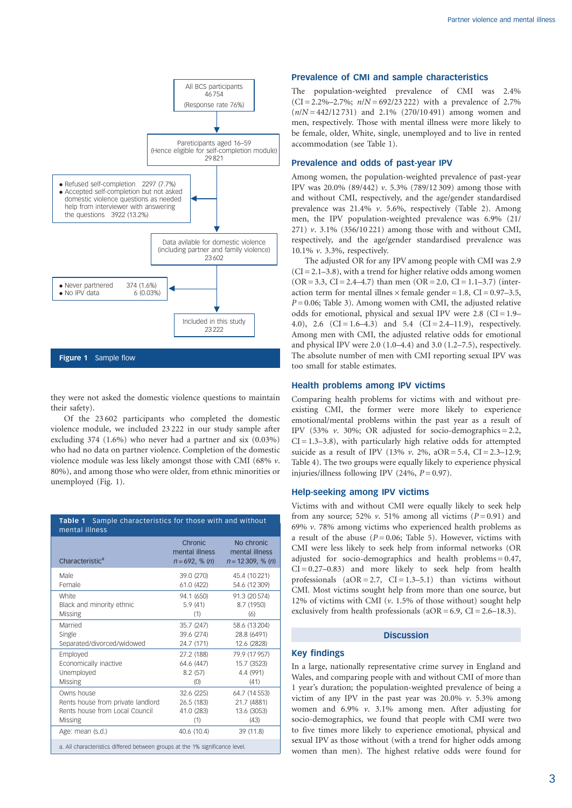

they were not asked the domestic violence questions to maintain their safety).

Of the 23 602 participants who completed the domestic violence module, we included 23 222 in our study sample after excluding 374 (1.6%) who never had a partner and six (0.03%) who had no data on partner violence. Completion of the domestic violence module was less likely amongst those with CMI (68%  $\nu$ . 80%), and among those who were older, from ethnic minorities or unemployed (Fig. 1).

| Table 1 Sample characteristics for those with and without<br>mental illness  |                                               |                                                    |
|------------------------------------------------------------------------------|-----------------------------------------------|----------------------------------------------------|
| Characteristic <sup>a</sup>                                                  | Chronic<br>mental illness<br>$n = 692, % (n)$ | No chronic<br>mental illness<br>$n = 12309, % (n)$ |
| Male                                                                         | 39.0 (270)                                    | 45.4 (10 221)                                      |
| Female                                                                       | 61.0 (422)                                    | 54.6 (12 309)                                      |
| White                                                                        | 94.1 (650)                                    | 91.3 (20 574)                                      |
| Black and minority ethnic                                                    | 5.9(41)                                       | 8.7 (1950)                                         |
| Missing                                                                      | (1)                                           | (6)                                                |
| Married                                                                      | 35.7 (247)                                    | 58.6 (13 204)                                      |
| Single                                                                       | 39.6 (274)                                    | 28.8 (6491)                                        |
| Separated/divorced/widowed                                                   | 24.7 (171)                                    | 12.6 (2828)                                        |
| Employed                                                                     | 27.2 (188)                                    | 79.9 (17 957)                                      |
| Economically inactive                                                        | 64.6 (447)                                    | 15.7 (3523)                                        |
| Unemployed                                                                   | 8.2(57)                                       | 4.4 (991)                                          |
| <b>Missing</b>                                                               | (0)                                           | (41)                                               |
| Owns house                                                                   | 32.6 (225)                                    | 64.7 (14 553)                                      |
| Rents house from private landlord                                            | 26.5 (183)                                    | 21.7 (4881)                                        |
| Rents house from Local Council                                               | 41.0 (283)                                    | 13.6 (3053)                                        |
| Missing                                                                      | (1)                                           | (43)                                               |
| Age: mean (s.d.)                                                             | 40.6 (10.4)                                   | 39 (11.8)                                          |
| a. All characteristics differed between groups at the 1% significance level. |                                               |                                                    |

#### Prevalence of CMI and sample characteristics

The population-weighted prevalence of CMI was 2.4%  $(CI = 2.2\% - 2.7\%; n/N = 692/23222)$  with a prevalence of 2.7%  $(n/N = 442/12731)$  and 2.1% (270/10491) among women and men, respectively. Those with mental illness were more likely to be female, older, White, single, unemployed and to live in rented accommodation (see Table 1).

## Prevalence and odds of past-year IPV

Among women, the population-weighted prevalence of past-year IPV was 20.0% (89/442) v. 5.3% (789/12 309) among those with and without CMI, respectively, and the age/gender standardised prevalence was 21.4% v. 5.6%, respectively (Table 2). Among men, the IPV population-weighted prevalence was 6.9% (21/ 271) v. 3.1% (356/10 221) among those with and without CMI, respectively, and the age/gender standardised prevalence was 10.1% v. 3.3%, respectively.

The adjusted OR for any IPV among people with CMI was 2.9  $(CI = 2.1 - 3.8)$ , with a trend for higher relative odds among women  $(OR = 3.3, CI = 2.4–4.7)$  than men  $(OR = 2.0, CI = 1.1–3.7)$  (interaction term for mental illnes  $\times$  female gender = 1.8, CI = 0.97–3.5,  $P = 0.06$ ; Table 3). Among women with CMI, the adjusted relative odds for emotional, physical and sexual IPV were  $2.8$  (CI = 1.9– 4.0), 2.6  $(CI = 1.6-4.3)$  and 5.4  $(CI = 2.4-11.9)$ , respectively. Among men with CMI, the adjusted relative odds for emotional and physical IPV were 2.0 (1.0–4.4) and 3.0 (1.2–7.5), respectively. The absolute number of men with CMI reporting sexual IPV was too small for stable estimates.

# Health problems among IPV victims

Comparing health problems for victims with and without preexisting CMI, the former were more likely to experience emotional/mental problems within the past year as a result of IPV (53%  $v$ . 30%; OR adjusted for socio-demographics = 2.2,  $CI = 1.3-3.8$ , with particularly high relative odds for attempted suicide as a result of IPV (13%  $v$ . 2%, aOR = 5.4, CI = 2.3–12.9; Table 4). The two groups were equally likely to experience physical injuries/illness following IPV (24%,  $P = 0.97$ ).

## Help-seeking among IPV victims

Victims with and without CMI were equally likely to seek help from any source; 52%  $v$ . 51% among all victims ( $P = 0.91$ ) and 69%  $\nu$ . 78% among victims who experienced health problems as a result of the abuse ( $P = 0.06$ ; Table 5). However, victims with CMI were less likely to seek help from informal networks (OR adjusted for socio-demographics and health problems = 0.47,  $CI = 0.27 - 0.83$ ) and more likely to seek help from health professionals  $(aOR = 2.7, CI = 1.3-5.1)$  than victims without CMI. Most victims sought help from more than one source, but 12% of victims with CMI  $(v. 1.5\%$  of those without) sought help exclusively from health professionals ( $aOR = 6.9$ ,  $CI = 2.6-18.3$ ).

# **Discussion**

#### Key findings

In a large, nationally representative crime survey in England and Wales, and comparing people with and without CMI of more than 1 year's duration; the population-weighted prevalence of being a victim of any IPV in the past year was  $20.0\%$  v. 5.3% among women and 6.9% v. 3.1% among men. After adjusting for socio-demographics, we found that people with CMI were two to five times more likely to experience emotional, physical and sexual IPV as those without (with a trend for higher odds among women than men). The highest relative odds were found for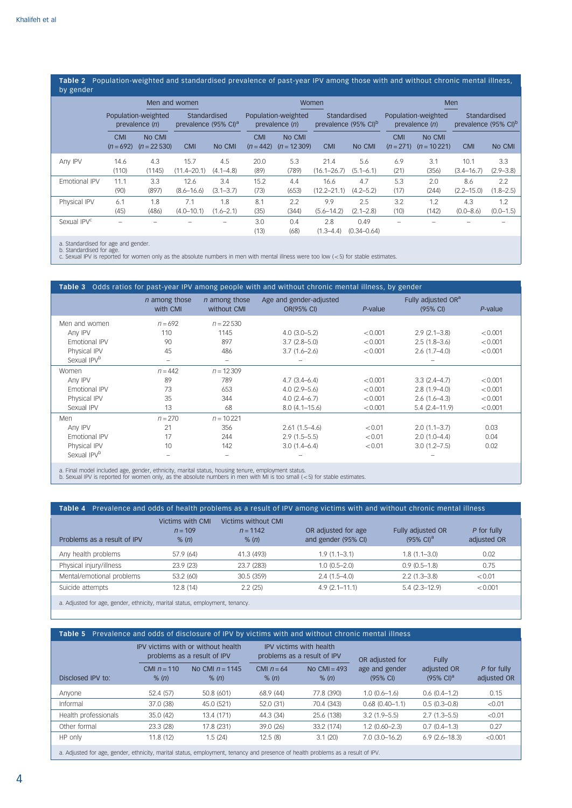## Table 2 Population-weighted and standardised prevalence of past-year IPV among those with and without chronic mental illness,<br>by gander by gender

|                         | Men and women             |                                       |                                                  | Women                |                                         |                         |                                                  | Men                     |                                         |                         |                                                  |                      |
|-------------------------|---------------------------|---------------------------------------|--------------------------------------------------|----------------------|-----------------------------------------|-------------------------|--------------------------------------------------|-------------------------|-----------------------------------------|-------------------------|--------------------------------------------------|----------------------|
|                         |                           | Population-weighted<br>prevalence (n) | Standardised<br>prevalence (95% CI) <sup>a</sup> |                      | Population-weighted<br>prevalence $(n)$ |                         | Standardised<br>prevalence (95% CI) <sup>b</sup> |                         | Population-weighted<br>prevalence $(n)$ |                         | Standardised<br>prevalence (95% CI) <sup>b</sup> |                      |
|                         | <b>CMI</b><br>$(n = 692)$ | No CMI<br>$(n = 22530)$               | <b>CMI</b>                                       | No CMI               | <b>CMI</b><br>$(n = 442)$               | No CMI<br>$(n = 12309)$ | <b>CMI</b>                                       | No CMI                  | <b>CMI</b><br>$(n=271)$                 | No CMI<br>$(n = 10221)$ | <b>CMI</b>                                       | No CMI               |
| Any IPV                 | 14.6<br>(110)             | 4.3<br>(1145)                         | 15.7<br>$(11.4 - 20.1)$                          | 4.5<br>$(4.1 - 4.8)$ | 20.0<br>(89)                            | 5.3<br>(789)            | 21.4<br>$(16.1 - 26.7)$                          | 5.6<br>$(5.1 - 6.1)$    | 6.9<br>(21)                             | 3.1<br>(356)            | 10.1<br>$(3.4 - 16.7)$                           | 3.3<br>$(2.9 - 3.8)$ |
| Emotional IPV           | 11.1<br>(90)              | 3.3<br>(897)                          | 12.6<br>$(8.6 - 16.6)$                           | 3.4<br>$(3.1 - 3.7)$ | 15.2<br>(73)                            | 4.4<br>(653)            | 16.6<br>$(12.2 - 21.1)$                          | 4.7<br>$(4.2 - 5.2)$    | 5.3<br>(17)                             | 2.0<br>(244)            | 8.6<br>$(2.2 - 15.0)$                            | 2.2<br>$(1.8 - 2.5)$ |
| Physical IPV            | 6.1<br>(45)               | 1.8<br>(486)                          | 7.1<br>$(4.0 - 10.1)$                            | 1.8<br>$(1.6 - 2.1)$ | 8.1<br>(35)                             | 2.2<br>(344)            | 9.9<br>$(5.6 - 14.2)$                            | 2.5<br>$(2.1 - 2.8)$    | 3.2<br>(10)                             | 1.2<br>(142)            | 4.3<br>$(0.0 - 8.6)$                             | 1.2<br>$(0.0 - 1.5)$ |
| Sexual IPV <sup>c</sup> |                           |                                       |                                                  |                      | 3.0<br>(13)                             | 0.4<br>(68)             | 2.8<br>$(1.3 - 4.4)$                             | 0.49<br>$(0.34 - 0.64)$ |                                         |                         |                                                  |                      |

a. Standardised for age and gender.

b. Standardised for age. c. Sexual IPV is reported for women only as the absolute numbers in men with mental illness were too low (55) for stable estimates.

|                                                                                                    |                                  |                                     | <b>Table 3</b> Odds ratios for past-year IPV among people with and without chronic mental illness, by gender |            |                                            |         |
|----------------------------------------------------------------------------------------------------|----------------------------------|-------------------------------------|--------------------------------------------------------------------------------------------------------------|------------|--------------------------------------------|---------|
|                                                                                                    | <i>n</i> among those<br>with CMI | <i>n</i> among those<br>without CMI | Age and gender-adjusted<br>OR(95% CI)                                                                        | $P$ -value | Fully adjusted OR <sup>a</sup><br>(95% CI) | P-value |
| Men and women                                                                                      | $n = 692$                        | $n = 22530$                         |                                                                                                              |            |                                            |         |
| Any IPV                                                                                            | 110                              | 1145                                | $4.0(3.0-5.2)$                                                                                               | < 0.001    | $2.9(2.1 - 3.8)$                           | < 0.001 |
| Emotional IPV                                                                                      | 90                               | 897                                 | $3.7(2.8-5.0)$                                                                                               | < 0.001    | $2.5(1.8-3.6)$                             | < 0.001 |
| Physical IPV                                                                                       | 45                               | 486                                 | $3.7(1.6 - 2.6)$                                                                                             | < 0.001    | $2.6(1.7-4.0)$                             | < 0.001 |
| Sexual IPV <sup>b</sup>                                                                            |                                  |                                     |                                                                                                              |            |                                            |         |
| Women                                                                                              | $n = 442$                        | $n = 12309$                         |                                                                                                              |            |                                            |         |
| Any IPV                                                                                            | 89                               | 789                                 | $4.7(3.4-6.4)$                                                                                               | < 0.001    | $3.3(2.4 - 4.7)$                           | < 0.001 |
| Emotional IPV                                                                                      | 73                               | 653                                 | $4.0(2.9 - 5.6)$                                                                                             | < 0.001    | $2.8(1.9 - 4.0)$                           | < 0.001 |
| Physical IPV                                                                                       | 35                               | 344                                 | $4.0(2.4-6.7)$                                                                                               | < 0.001    | $2.6(1.6-4.3)$                             | < 0.001 |
| Sexual IPV                                                                                         | 13                               | 68                                  | $8.0(4.1 - 15.6)$                                                                                            | < 0.001    | $5.4(2.4 - 11.9)$                          | < 0.001 |
| Men                                                                                                | $n = 270$                        | $n = 10221$                         |                                                                                                              |            |                                            |         |
| Any IPV                                                                                            | 21                               | 356                                 | $2.61(1.5 - 4.6)$                                                                                            | < 0.01     | $2.0(1.1-3.7)$                             | 0.03    |
| Emotional IPV                                                                                      | 17                               | 244                                 | $2.9(1.5-5.5)$                                                                                               | < 0.01     | $2.0(1.0-4.4)$                             | 0.04    |
| Physical IPV                                                                                       | 10                               | 142                                 | $3.0(1.4 - 6.4)$                                                                                             | < 0.01     | $3.0(1.2 - 7.5)$                           | 0.02    |
| Sexual IPV <sup>b</sup>                                                                            | $\overline{\phantom{0}}$         | $\overline{\phantom{a}}$            |                                                                                                              |            |                                            |         |
| a. Final model included age, gender, ethnicity, marital status, housing tenure, employment status. |                                  |                                     |                                                                                                              |            |                                            |         |

a. Final model included age, gender, ethnicity, marital status, housing tenure, employment status. b. Sexual IPV is reported for women only, as the absolute numbers in men with MI is too small (55) for stable estimates.

| Table 4 Prevalence and odds of health problems as a result of IPV among victims with and without chronic mental illness |                                        |                                            |                                            |                                            |                            |  |
|-------------------------------------------------------------------------------------------------------------------------|----------------------------------------|--------------------------------------------|--------------------------------------------|--------------------------------------------|----------------------------|--|
| Problems as a result of IPV                                                                                             | Victims with CMI<br>$n = 109$<br>% (n) | Victims without CMI<br>$n = 1142$<br>% (n) | OR adjusted for age<br>and gender (95% CI) | Fully adjusted OR<br>$(95\% \text{ Cl})^a$ | P for fully<br>adjusted OR |  |
| Any health problems                                                                                                     | 57.9 (64)                              | 41.3 (493)                                 | $1.9(1.1-3.1)$                             | $1.8(1.1 - 3.0)$                           | 0.02                       |  |
| Physical injury/illness                                                                                                 | 23.9(23)                               | 23.7 (283)                                 | $1.0(0.5 - 2.0)$                           | $0.9(0.5-1.8)$                             | 0.75                       |  |
| Mental/emotional problems                                                                                               | 53.2 (60)                              | 30.5 (359)                                 | $2.4(1.5-4.0)$                             | $2.2(1.3 - 3.8)$                           | < 0.01                     |  |
| Suicide attempts                                                                                                        | 12.8(14)                               | 2.2(25)                                    | $4.9(2.1 - 11.1)$                          | $5.4(2.3 - 12.9)$                          | < 0.001                    |  |
| a. Adjusted for age, gender, ethnicity, marital status, employment, tenancy.                                            |                                        |                                            |                                            |                                            |                            |  |

# Table 5 Prevalence and odds of disclosure of IPV by victims with and without chronic mental illness

|                                                                                                                                                                                                                               | IPV victims with or without health<br>problems as a result of IPV |                            |                       | <b>IPV victims with health</b><br>problems as a result of IPV | OR adjusted for                      | <b>Fully</b>                         |                            |
|-------------------------------------------------------------------------------------------------------------------------------------------------------------------------------------------------------------------------------|-------------------------------------------------------------------|----------------------------|-----------------------|---------------------------------------------------------------|--------------------------------------|--------------------------------------|----------------------------|
| Disclosed IPV to:                                                                                                                                                                                                             | CMI $n = 110$<br>% (n)                                            | No CMI $n = 1145$<br>% (n) | CMI $n = 64$<br>% (n) | No $CMI = 493$<br>$%$ (n)                                     | age and gender<br>$(95% \text{ Cl})$ | adjusted OR<br>$(95\% \text{ Cl})^a$ | P for fully<br>adjusted OR |
| Anyone                                                                                                                                                                                                                        | 52.4 (57)                                                         | 50.8 (601)                 | 68.9(44)              | 77.8 (390)                                                    | $1.0(0.6-1.6)$                       | $0.6(0.4-1.2)$                       | 0.15                       |
| Informal                                                                                                                                                                                                                      | 37.0 (38)                                                         | 45.0 (521)                 | 52.0 (31)             | 70.4 (343)                                                    | $0.68$ $(0.40 - 1.1)$                | $0.5(0.3 - 0.8)$                     | < 0.01                     |
| Health professionals                                                                                                                                                                                                          | 35.0(42)                                                          | 13.4 (171)                 | 44.3 (34)             | 25.6 (138)                                                    | $3.2(1.9 - 5.5)$                     | $2.7(1.3-5.5)$                       | < 0.01                     |
| Other formal                                                                                                                                                                                                                  | 23.3 (28)                                                         | 17.8 (231)                 | 39.0 (26)             | 33.2 (174)                                                    | $1.2(0.60 - 2.3)$                    | $0.7(0.4-1.3)$                       | 0.27                       |
| HP only                                                                                                                                                                                                                       | 11.8(12)                                                          | 1.5(24)                    | 12.5(8)               | 3.1(20)                                                       | $7.0(3.0-16.2)$                      | $6.9(2.6 - 18.3)$                    | < 0.001                    |
| ۱۳۱۱ کم بازیوده و مردمانامهم والاموا کم موجوده سردم بودمود بازیود واحده و بایده امانهمی بازدادهایی بوده و به استان استان استان استان استان استان استان استان استان استان استان استان استان استان استان استان استان استان استا |                                                                   |                            |                       |                                                               |                                      |                                      |                            |

a. Adjusted for age, gender, ethnicity, marital status, employment, tenancy and presence of health problems as a result of IPV.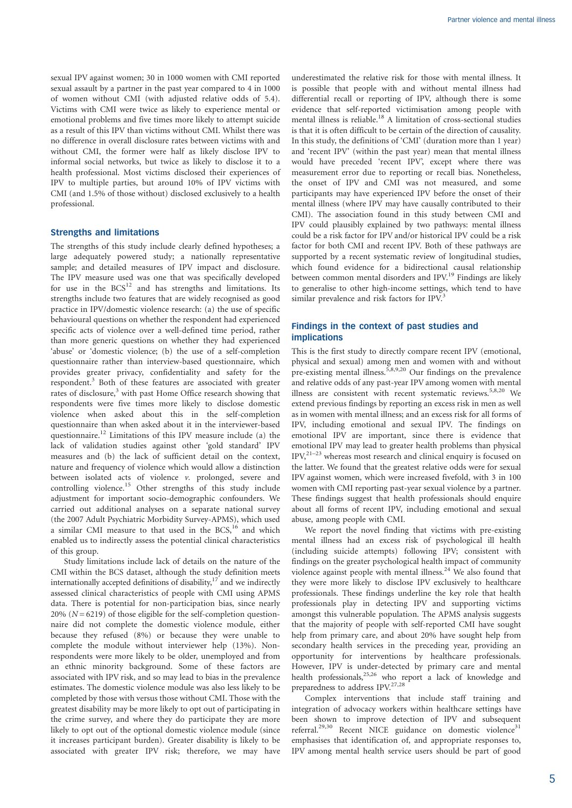sexual IPV against women; 30 in 1000 women with CMI reported sexual assault by a partner in the past year compared to 4 in 1000 of women without CMI (with adjusted relative odds of 5.4). Victims with CMI were twice as likely to experience mental or emotional problems and five times more likely to attempt suicide as a result of this IPV than victims without CMI. Whilst there was no difference in overall disclosure rates between victims with and without CMI, the former were half as likely disclose IPV to informal social networks, but twice as likely to disclose it to a health professional. Most victims disclosed their experiences of IPV to multiple parties, but around 10% of IPV victims with CMI (and 1.5% of those without) disclosed exclusively to a health professional.

#### Strengths and limitations

The strengths of this study include clearly defined hypotheses; a large adequately powered study; a nationally representative sample; and detailed measures of IPV impact and disclosure. The IPV measure used was one that was specifically developed for use in the  $BCS<sup>12</sup>$  and has strengths and limitations. Its strengths include two features that are widely recognised as good practice in IPV/domestic violence research: (a) the use of specific behavioural questions on whether the respondent had experienced specific acts of violence over a well-defined time period, rather than more generic questions on whether they had experienced 'abuse' or 'domestic violence; (b) the use of a self-completion questionnaire rather than interview-based questionnaire, which provides greater privacy, confidentiality and safety for the respondent.3 Both of these features are associated with greater rates of disclosure,<sup>3</sup> with past Home Office research showing that respondents were five times more likely to disclose domestic violence when asked about this in the self-completion questionnaire than when asked about it in the interviewer-based questionnaire.<sup>12</sup> Limitations of this IPV measure include (a) the lack of validation studies against other 'gold standard' IPV measures and (b) the lack of sufficient detail on the context, nature and frequency of violence which would allow a distinction between isolated acts of violence v. prolonged, severe and controlling violence.<sup>15</sup> Other strengths of this study include adjustment for important socio-demographic confounders. We carried out additional analyses on a separate national survey (the 2007 Adult Psychiatric Morbidity Survey-APMS), which used a similar CMI measure to that used in the BCS,<sup>16</sup> and which enabled us to indirectly assess the potential clinical characteristics of this group.

Study limitations include lack of details on the nature of the CMI within the BCS dataset, although the study definition meets internationally accepted definitions of disability, $17$  and we indirectly assessed clinical characteristics of people with CMI using APMS data. There is potential for non-participation bias, since nearly 20%  $(N = 6219)$  of those eligible for the self-completion questionnaire did not complete the domestic violence module, either because they refused (8%) or because they were unable to complete the module without interviewer help (13%). Nonrespondents were more likely to be older, unemployed and from an ethnic minority background. Some of these factors are associated with IPV risk, and so may lead to bias in the prevalence estimates. The domestic violence module was also less likely to be completed by those with versus those without CMI. Those with the greatest disability may be more likely to opt out of participating in the crime survey, and where they do participate they are more likely to opt out of the optional domestic violence module (since it increases participant burden). Greater disability is likely to be associated with greater IPV risk; therefore, we may have underestimated the relative risk for those with mental illness. It is possible that people with and without mental illness had differential recall or reporting of IPV, although there is some evidence that self-reported victimisation among people with mental illness is reliable.<sup>18</sup> A limitation of cross-sectional studies is that it is often difficult to be certain of the direction of causality. In this study, the definitions of 'CMI' (duration more than 1 year) and 'recent IPV' (within the past year) mean that mental illness would have preceded 'recent IPV', except where there was measurement error due to reporting or recall bias. Nonetheless, the onset of IPV and CMI was not measured, and some participants may have experienced IPV before the onset of their mental illness (where IPV may have causally contributed to their CMI). The association found in this study between CMI and IPV could plausibly explained by two pathways: mental illness could be a risk factor for IPV and/or historical IPV could be a risk factor for both CMI and recent IPV. Both of these pathways are supported by a recent systematic review of longitudinal studies, which found evidence for a bidirectional causal relationship between common mental disorders and IPV.<sup>19</sup> Findings are likely to generalise to other high-income settings, which tend to have similar prevalence and risk factors for IPV.<sup>3</sup>

## Findings in the context of past studies and implications

This is the first study to directly compare recent IPV (emotional, physical and sexual) among men and women with and without pre-existing mental illness.<sup>5,8,9,20</sup> Our findings on the prevalence and relative odds of any past-year IPV among women with mental illness are consistent with recent systematic reviews.<sup>5,8,20</sup> We extend previous findings by reporting an excess risk in men as well as in women with mental illness; and an excess risk for all forms of IPV, including emotional and sexual IPV. The findings on emotional IPV are important, since there is evidence that emotional IPV may lead to greater health problems than physical IPV,21–23 whereas most research and clinical enquiry is focused on the latter. We found that the greatest relative odds were for sexual IPV against women, which were increased fivefold, with 3 in 100 women with CMI reporting past-year sexual violence by a partner. These findings suggest that health professionals should enquire about all forms of recent IPV, including emotional and sexual abuse, among people with CMI.

We report the novel finding that victims with pre-existing mental illness had an excess risk of psychological ill health (including suicide attempts) following IPV; consistent with findings on the greater psychological health impact of community violence against people with mental illness.<sup>24</sup> We also found that they were more likely to disclose IPV exclusively to healthcare professionals. These findings underline the key role that health professionals play in detecting IPV and supporting victims amongst this vulnerable population. The APMS analysis suggests that the majority of people with self-reported CMI have sought help from primary care, and about 20% have sought help from secondary health services in the preceding year, providing an opportunity for interventions by healthcare professionals. However, IPV is under-detected by primary care and mental health professionals,25,26 who report a lack of knowledge and preparedness to address IPV.<sup>27,28</sup>

Complex interventions that include staff training and integration of advocacy workers within healthcare settings have been shown to improve detection of IPV and subsequent referral.<sup>29,30</sup> Recent NICE guidance on domestic violence<sup>31</sup> emphasises that identification of, and appropriate responses to, IPV among mental health service users should be part of good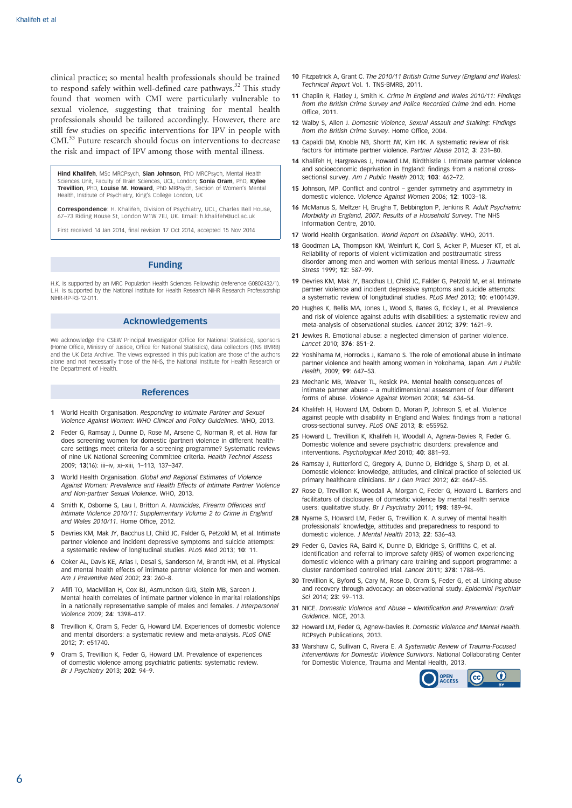clinical practice; so mental health professionals should be trained to respond safely within well-defined care pathways.<sup>32</sup> This study found that women with CMI were particularly vulnerable to sexual violence, suggesting that training for mental health professionals should be tailored accordingly. However, there are still few studies on specific interventions for IPV in people with CMI.<sup>33</sup> Future research should focus on interventions to decrease the risk and impact of IPV among those with mental illness.

Hind Khalifeh, MSc MRCPsych, Sian Johnson, PhD MRCPsych, Mental Health Sciences Unit, Faculty of Brain Sciences, UCL, London; Sonia Oram, PhD, Kylee Trevillion, PhD, Louise M. Howard, PhD MRPsych, Section of Women's Mental Health, Institute of Psychiatry, King's College London, UK

Correspondence: H. Khalifeh, Division of Psychiatry, UCL, Charles Bell House, 67–73 Riding House St, London W1W 7EJ, UK. Email: h.khalifeh@ucl.ac.uk

First received 14 Jan 2014, final revision 17 Oct 2014, accepted 15 Nov 2014

#### Funding

H.K. is supported by an MRC Population Health Sciences Fellowship (reference G0802432/1). L.H. is supported by the National Institute for Health Research NIHR Research Professorship NIHR-RP-R3-12-011.

# Acknowledgements

We acknowledge the CSEW Principal Investigator (Office for National Statistics), sponsors (Home Office, Ministry of Justice, Office for National Statistics), data collectors (TNS BMRB) and the UK Data Archive. The views expressed in this publication are those of the authors alone and not necessarily those of the NHS, the National Institute for Health Research or the Department of Health.

#### References

- 1 World Health Organisation. Responding to Intimate Partner and Sexual Violence Against Women: WHO Clinical and Policy Guidelines. WHO, 2013.
- 2 Feder G, Ramsay J, Dunne D, Rose M, Arsene C, Norman R, et al. How far does screening women for domestic (partner) violence in different healthcare settings meet criteria for a screening programme? Systematic reviews of nine UK National Screening Committee criteria. Health Technol Assess 2009; 13(16): iii–iv, xi–xiii, 1–113, 137–347.
- 3 World Health Organisation. Global and Regional Estimates of Violence Against Women: Prevalence and Health Effects of Intimate Partner Violence and Non-partner Sexual Violence. WHO, 2013.
- Smith K, Osborne S, Lau I, Britton A. Homicides, Firearm Offences and Intimate Violence 2010/11: Supplementary Volume 2 to Crime in England and Wales 2010/11. Home Office, 2012.
- 5 Devries KM, Mak JY, Bacchus LJ, Child JC, Falder G, Petzold M, et al. Intimate partner violence and incident depressive symptoms and suicide attempts: a systematic review of longitudinal studies. PLoS Med 2013; 10: 11.
- 6 Coker AL, Davis KE, Arias I, Desai S, Sanderson M, Brandt HM, et al. Physical and mental health effects of intimate partner violence for men and women. Am J Preventive Med 2002; 23: 260–8.
- Afifi TO, MacMillan H, Cox BJ, Asmundson GJG, Stein MB, Sareen J. Mental health correlates of intimate partner violence in marital relationships in a nationally representative sample of males and females. J Interpersonal Violence 2009; 24: 1398–417.
- 8 Trevillion K, Oram S, Feder G, Howard LM. Experiences of domestic violence and mental disorders: a systematic review and meta-analysis. PLoS ONE 2012; 7: e51740.
- Oram S, Trevillion K, Feder G, Howard LM. Prevalence of experiences of domestic violence among psychiatric patients: systematic review. Br J Psychiatry 2013; 202: 94–9.
- 10 Fitzpatrick A, Grant C. The 2010/11 British Crime Survey (England and Wales). Technical Report Vol. 1. TNS-BMRB, 2011.
- 11 Chaplin R, Flatley J, Smith K, Crime in England and Wales 2010/11: Findings from the British Crime Survey and Police Recorded Crime 2nd edn. Home Office, 2011.
- 12 Walby S, Allen J. Domestic Violence, Sexual Assault and Stalking: Findings from the British Crime Survey. Home Office, 2004.
- 13 Capaldi DM, Knoble NB, Shortt JW, Kim HK. A systematic review of risk factors for intimate partner violence. Partner Abuse 2012; 3: 231–80.
- 14 Khalifeh H, Hargreaves J, Howard LM, Birdthistle I. Intimate partner violence and socioeconomic deprivation in England: findings from a national crosssectional survey. Am J Public Health 2013; 103: 462-72.
- 15 Johnson, MP. Conflict and control gender symmetry and asymmetry in domestic violence. Violence Against Women 2006; 12: 1003–18.
- 16 McManus S, Meltzer H, Brugha T, Bebbington P, Jenkins R. Adult Psychiatric Morbidity in England, 2007: Results of a Household Survey. The NHS Information Centre, 2010.
- 17 World Health Organisation. World Report on Disability. WHO, 2011.
- 18 Goodman LA, Thompson KM, Weinfurt K, Corl S, Acker P, Mueser KT, et al. Reliability of reports of violent victimization and posttraumatic stress disorder among men and women with serious mental illness. J Traumatic Stress 1999; 12: 587–99.
- 19 Devries KM, Mak JY, Bacchus LJ, Child JC, Falder G, Petzold M, et al. Intimate partner violence and incident depressive symptoms and suicide attempts: a systematic review of longitudinal studies. PLoS Med 2013; 10: e1001439.
- 20 Hughes K, Bellis MA, Jones L, Wood S, Bates G, Eckley L, et al. Prevalence and risk of violence against adults with disabilities: a systematic review and meta-analysis of observational studies. Lancet 2012; 379: 1621–9.
- 21 Jewkes R. Emotional abuse: a neglected dimension of partner violence. Lancet 2010; 376: 851–2.
- 22 Yoshihama M, Horrocks J, Kamano S. The role of emotional abuse in intimate partner violence and health among women in Yokohama, Japan. Am J Public Health, 2009; 99: 647–53.
- 23 Mechanic MB, Weaver TL, Resick PA. Mental health consequences of intimate partner abuse – a multidimensional assessment of four different forms of abuse. Violence Against Women 2008; 14: 634-54.
- 24 Khalifeh H, Howard LM, Osborn D, Moran P, Johnson S, et al. Violence against people with disability in England and Wales: findings from a national cross-sectional survey. PLoS ONE 2013; 8: e55952.
- 25 Howard L, Trevillion K, Khalifeh H, Woodall A, Agnew-Davies R, Feder G. Domestic violence and severe psychiatric disorders: prevalence and interventions. Psychological Med 2010; 40: 881–93.
- 26 Ramsay J, Rutterford C, Gregory A, Dunne D, Eldridge S, Sharp D, et al. Domestic violence: knowledge, attitudes, and clinical practice of selected UK primary healthcare clinicians. Br J Gen Pract 2012; 62: e647–55.
- 27 Rose D, Trevillion K, Woodall A, Morgan C, Feder G, Howard L. Barriers and facilitators of disclosures of domestic violence by mental health service users: qualitative study. Br J Psychiatry 2011; 198: 189–94.
- 28 Nyame S, Howard LM, Feder G, Trevillion K. A survey of mental health professionals' knowledge, attitudes and preparedness to respond to domestic violence. J Mental Health 2013; 22: 536–43.
- 29 Feder G, Davies RA, Baird K, Dunne D, Eldridge S, Griffiths C, et al. Identification and referral to improve safety (IRIS) of women experiencing domestic violence with a primary care training and support programme: a cluster randomised controlled trial. Lancet 2011; 378: 1788–95.
- 30 Trevillion K, Byford S, Cary M, Rose D, Oram S, Feder G, et al. Linking abuse and recovery through advocacy: an observational study. Epidemiol Psychiatr Sci 2014; 23: 99–113.
- 31 NICE. Domestic Violence and Abuse Identification and Prevention: Draft Guidance. NICE, 2013.
- 32 Howard LM, Feder G, Agnew-Davies R. Domestic Violence and Mental Health. RCPsych Publications, 2013.
- 33 Warshaw C, Sullivan C, Rivera E. A Systematic Review of Trauma-Focused Interventions for Domestic Violence Survivors. National Collaborating Center for Domestic Violence, Trauma and Mental Health, 2013.